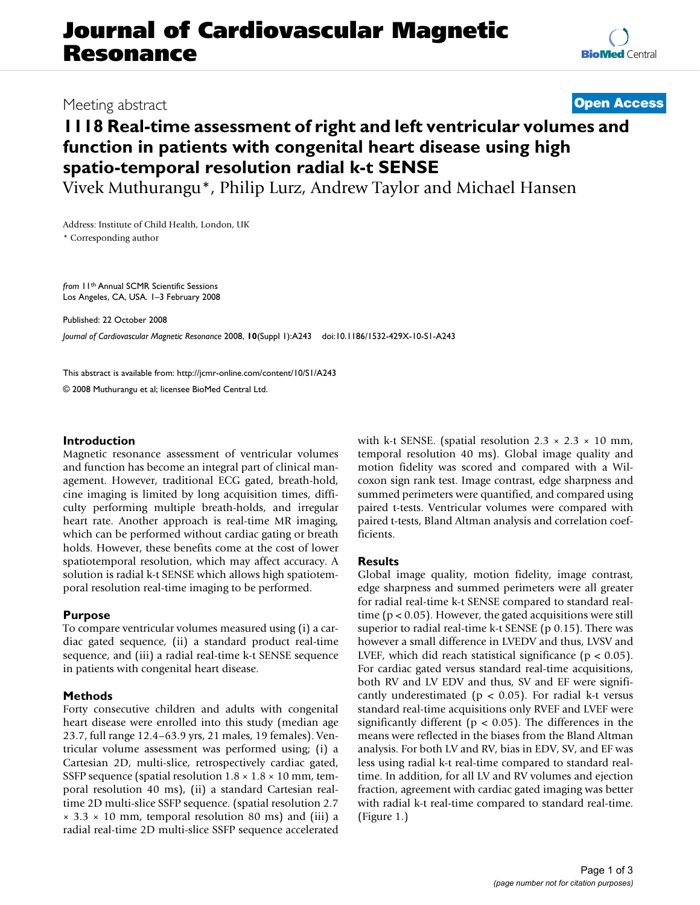# **Journal of Cardiovascular Magnetic Resonance**

## Meeting abstract **[Open Access](http://www.biomedcentral.com/info/about/charter/)**

# **1118 Real-time assessment of right and left ventricular volumes and function in patients with congenital heart disease using high spatio-temporal resolution radial k-t SENSE**

Vivek Muthurangu\*, Philip Lurz, Andrew Taylor and Michael Hansen

Address: Institute of Child Health, London, UK

\* Corresponding author

*from* 11th Annual SCMR Scientific Sessions Los Angeles, CA, USA. 1–3 February 2008

Published: 22 October 2008

*Journal of Cardiovascular Magnetic Resonance* 2008, **10**(Suppl 1):A243 doi:10.1186/1532-429X-10-S1-A243

[This abstract is available from: http://jcmr-online.com/content/10/S1/A243](http://jcmr-online.com/content/10/S1/A243)

© 2008 Muthurangu et al; licensee BioMed Central Ltd.

#### **Introduction**

Magnetic resonance assessment of ventricular volumes and function has become an integral part of clinical management. However, traditional ECG gated, breath-hold, cine imaging is limited by long acquisition times, difficulty performing multiple breath-holds, and irregular heart rate. Another approach is real-time MR imaging, which can be performed without cardiac gating or breath holds. However, these benefits come at the cost of lower spatiotemporal resolution, which may affect accuracy. A solution is radial k-t SENSE which allows high spatiotemporal resolution real-time imaging to be performed.

### **Purpose**

To compare ventricular volumes measured using (i) a cardiac gated sequence, (ii) a standard product real-time sequence, and (iii) a radial real-time k-t SENSE sequence in patients with congenital heart disease.

### **Methods**

Forty consecutive children and adults with congenital heart disease were enrolled into this study (median age 23.7, full range 12.4–63.9 yrs, 21 males, 19 females). Ventricular volume assessment was performed using; (i) a Cartesian 2D, multi-slice, retrospectively cardiac gated, SSFP sequence (spatial resolution  $1.8 \times 1.8 \times 10$  mm, temporal resolution 40 ms), (ii) a standard Cartesian realtime 2D multi-slice SSFP sequence. (spatial resolution 2.7  $\times$  3.3  $\times$  10 mm, temporal resolution 80 ms) and (iii) a radial real-time 2D multi-slice SSFP sequence accelerated with k-t SENSE. (spatial resolution  $2.3 \times 2.3 \times 10$  mm, temporal resolution 40 ms). Global image quality and motion fidelity was scored and compared with a Wilcoxon sign rank test. Image contrast, edge sharpness and summed perimeters were quantified, and compared using paired t-tests. Ventricular volumes were compared with paired t-tests, Bland Altman analysis and correlation coefficients.

### **Results**

Global image quality, motion fidelity, image contrast, edge sharpness and summed perimeters were all greater for radial real-time k-t SENSE compared to standard realtime ( $p < 0.05$ ). However, the gated acquisitions were still superior to radial real-time k-t SENSE (p 0.15). There was however a small difference in LVEDV and thus, LVSV and LVEF, which did reach statistical significance ( $p < 0.05$ ). For cardiac gated versus standard real-time acquisitions, both RV and LV EDV and thus, SV and EF were significantly underestimated ( $p < 0.05$ ). For radial k-t versus standard real-time acquisitions only RVEF and LVEF were significantly different ( $p < 0.05$ ). The differences in the means were reflected in the biases from the Bland Altman analysis. For both LV and RV, bias in EDV, SV, and EF was less using radial k-t real-time compared to standard realtime. In addition, for all LV and RV volumes and ejection fraction, agreement with cardiac gated imaging was better with radial k-t real-time compared to standard real-time. (Figure 1.)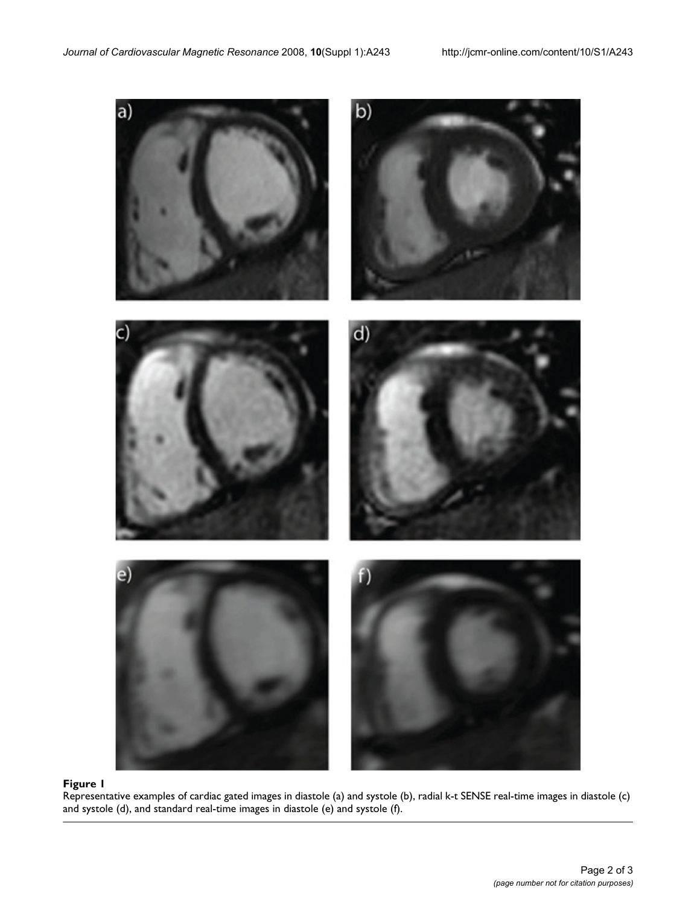

Representative examples of card and systole (d), and standard real-time images in diastole (e) and systole (f) **Figure 1** iac gated images in diastole (a) and systole (b), radial k-t SENSE real-time images in diastole (c) Representative examples of cardiac gated images in diastole (a) and systole (b), radial k-t SENSE real-time images in diastole (c) and systole (d), and standard real-time images in diastole (e) and systole (f).